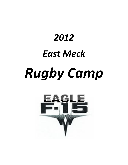# *2012 East Meck Rugby Camp*

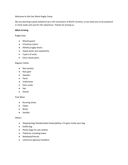### Welcome to the East Meck Rugby Camp

We are planning a great weekend up in the mountains of North Carolina, so we need you to be prepared in mind, body and soul for this adventure. Thanks for joining us.

### **What to bring**

Rugby Gear

- Mouth guard
- 4 Practice tshirts
- Athletic/rugby shorts
- Sweat pants and sweatshirts
- 5 pairs of socks
- Extra sweat pants

### Regular Clothe

- Rain jackets
- Rain gear
- Sweater
- Pants
- Underwear
- Extra socks
- Hat
- **•** Gloves

### Foot Wear

- Running shoes  $\bullet$
- Cleats
- Boots
- Sandals

### **Others**

- Sleeping bag/ blankets/bed sheets/pillow, if it goes inside your bag
- Duffel bag
- Plastic bags for wet clothes
- Toiletries including towel
- Notebook/Pencils
- Lotion/sun glasses/ bandana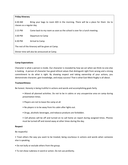| <b>Friday Itinerary</b>                          |                                                                                   |
|--------------------------------------------------|-----------------------------------------------------------------------------------|
| 6:30 AM<br>classes as a regular day.             | Bring your bags to room 603 in the morning. There will be a place for them .Go to |
| $2:15$ PM                                        | Come back to my room as soon as the school is over for a lunch meeting            |
| $3:30$ PM                                        | Departure to Camp                                                                 |
| 6:30 PM                                          | Arrival to Camp                                                                   |
| The rest of the Itinerary will be given at Camp. |                                                                                   |
| Dinner time will also be announced at Camp.      |                                                                                   |

### **Camp Expectations**

Character is what a person is inside. Our character is revealed by how we act when we think no one else is looking. A person of character has good ethical values that distinguish right from wrong and a strong commitment to do what is right. By showing respect and taking ownership of your actions, you demonstrate character, gain knowledge, and enjoy success! That is what East Meck Rugby is all about.

### **Trustworthiness**

Be honest. Honesty is being truthful in actions and words and accomplishing goals fairly.

- Attend all planned activities. Do not to be in cabins or any unsupervise area on camp during presentation times.
- Players are not to leave the camp at all.
- No players is to be away from his cabin after lights out.
- Drugs, alcoholic beverages, and tobacco products are forbidden.
- Cell phones will be off and turned on to call home an report during assigned times. Phones must be turned off and stored away at other times during the day.

### **Respect**

### Be respectful.

• Treat others the way you want to be treated, being courteous in actions and words when someone else is speaking.

- Do not bully or exclude others from the group.
- To not show rudeness in word or action. Do not use profanity.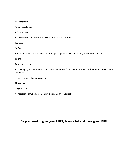### **Responsibility**

Pursue excellence.

- Do your best.
- Try something new with enthusiasm and a positive attitude.

### **Fairness**

Be fair.

• Be open‐minded and listen to other people's opinions, even when they are different than yours.

### **Caring**

Care about others.

• "Build up" your teammates; don't "tear them down." Tell someone when he does a good job or has a good idea.

• Resist name calling or put downs.

### **Citizenship**

Do your share.

• Protect our camp environment by picking up after yourself.

**Be prepared to give your 110%, learn a lot and have great FUN**